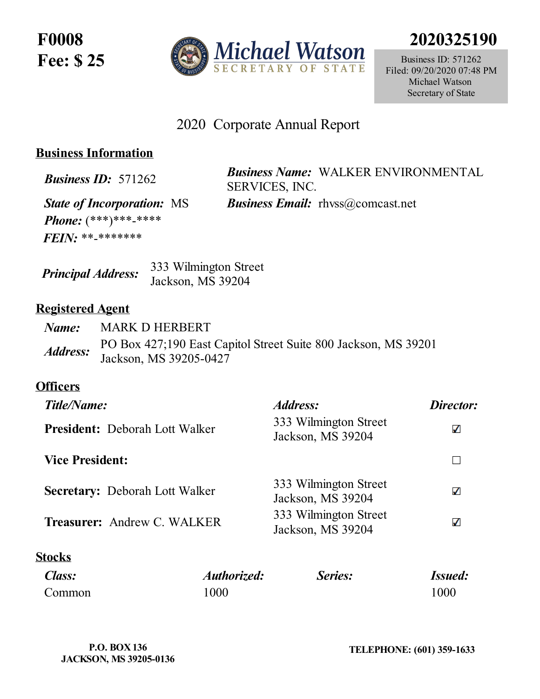**F0008 Fee: \$ 25**



**2020325190**

Business ID: 571262 Filed: 09/20/2020 07:48 PM Michael Watson Secretary of State

# 2020 Corporate Annual Report

# **Business Information**

*Business ID:* <sup>571262</sup> *Business Name:* WALKER ENVIRONMENTAL SERVICES, INC.

*State of Incorporation:* MS *Business Email:* rhvss@comcast.net *Phone:* (\*\*\*)\*\*\*-\*\*\*\* *FEIN:* \*\*-\*\*\*\*\*\*\*

| <b>Principal Address:</b> | 333 Wilmington Street |  |
|---------------------------|-----------------------|--|
|                           | Jackson, MS 39204     |  |

### **Registered Agent**

| Name:                  | <b>MARK D HERBERT</b>                                                                    |
|------------------------|------------------------------------------------------------------------------------------|
| <i><b>Address:</b></i> | PO Box 427;190 East Capitol Street Suite 800 Jackson, MS 39201<br>Jackson, MS 39205-0427 |

# **Officers**

| Title/Name:                           |             | Address:                                   | Director:      |
|---------------------------------------|-------------|--------------------------------------------|----------------|
| <b>President:</b> Deborah Lott Walker |             | 333 Wilmington Street<br>Jackson, MS 39204 | ✓              |
| <b>Vice President:</b>                |             |                                            |                |
| <b>Secretary:</b> Deborah Lott Walker |             | 333 Wilmington Street<br>Jackson, MS 39204 | ✓              |
| <b>Treasurer: Andrew C. WALKER</b>    |             | 333 Wilmington Street<br>Jackson, MS 39204 | ✓              |
| Stocks                                |             |                                            |                |
| Class:                                | Authorized: | Series:                                    | <b>Issued:</b> |
| Common                                | 1000        |                                            | 1000           |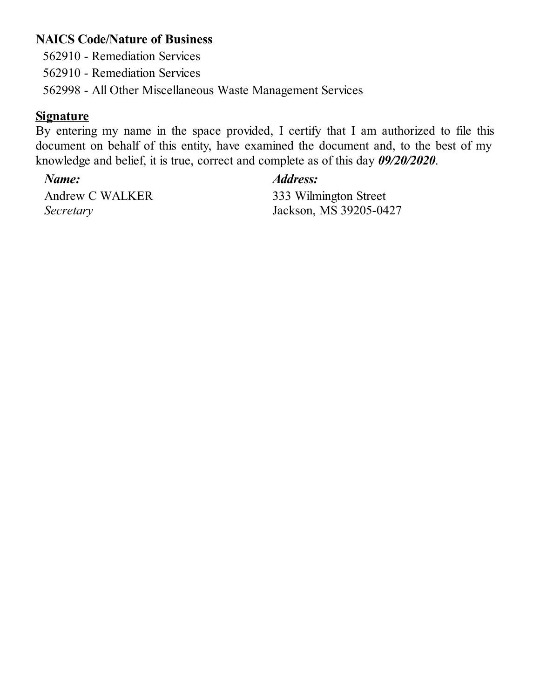### **NAICS Code/Nature of Business**

562910 - Remediation Services

562910 - Remediation Services

562998 - All Other Miscellaneous Waste Management Services

### **Signature**

By entering my name in the space provided, I certify that I am authorized to file this document on behalf of this entity, have examined the document and, to the best of my knowledge and belief, it is true, correct and complete as of this day *09/20/2020*.

Andrew C WALKER *Secretary*

# *Name: Address:*

333 Wilmington Street Jackson, MS 39205-0427